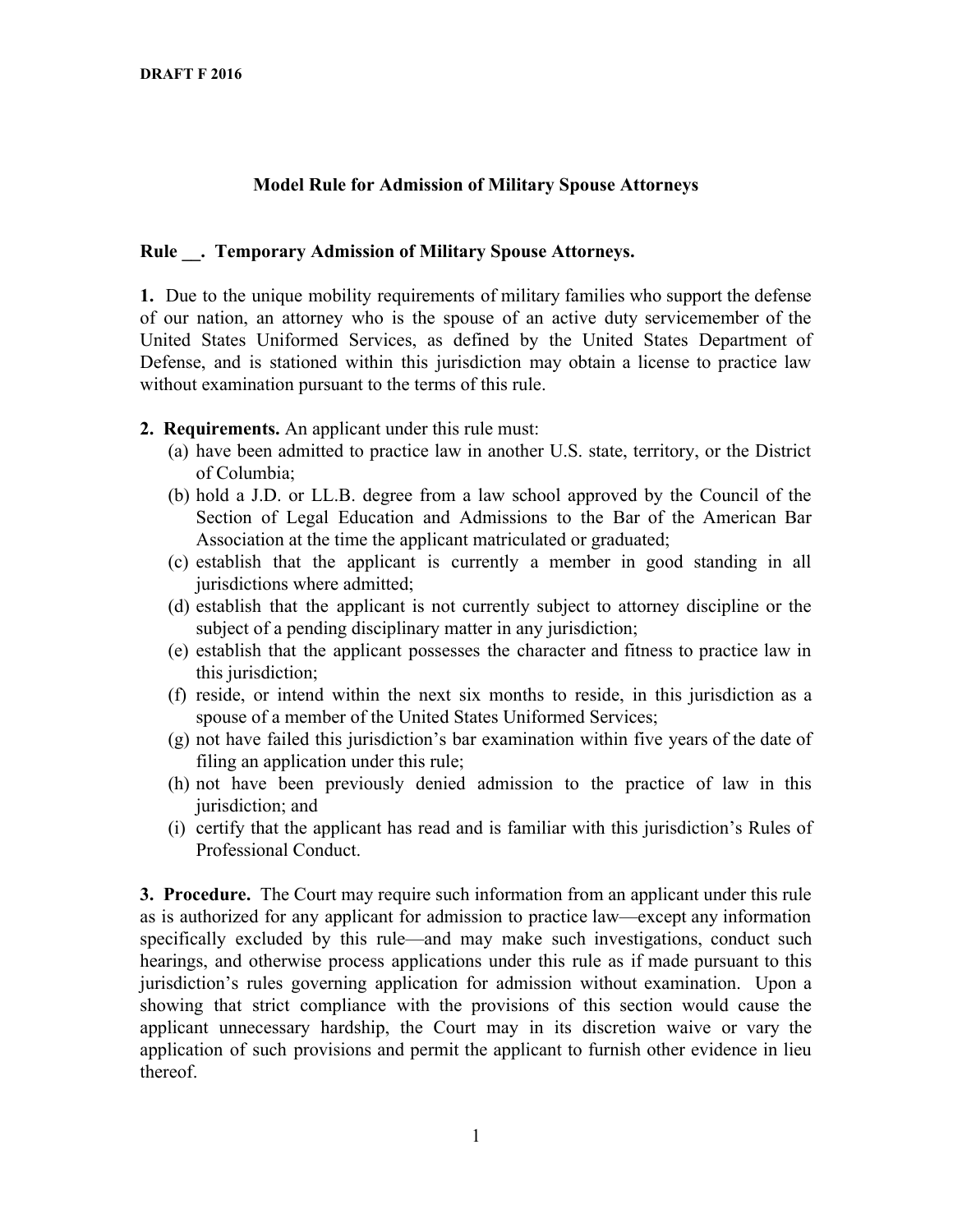## **Model Rule for Admission of Military Spouse Attorneys**

## **Rule \_\_.Temporary Admission ofMilitary Spouse Attorneys.**

**1.** Due to the unique mobility requirements of military families who support the defense of our nation, an attorney who is the spouse of an active duty servicemember of the United States Uniformed Services, as defined by the United States Department of Defense, and is stationed within this jurisdiction may obtain a license to practice law without examination pursuant to the terms of this rule.

- **2. Requirements.** An applicant under this rule must:
	- (a) have been admitted to practice law in another U.S. state, territory, or the District of Columbia;
	- (b) hold a J.D. or LL.B. degree from a law school approved by the Council of the Section of Legal Education and Admissions to the Bar of the American Bar Association at the time the applicant matriculated or graduated;
	- (c) establish that the applicant is currently a member in good standing in all jurisdictions where admitted;
	- (d) establish that the applicant is not currently subject to attorney discipline or the subject of a pending disciplinary matter in any jurisdiction;
	- (e) establish that the applicant possesses the character and fitness to practice law in this jurisdiction;
	- (f) reside, or intend within the next six months to reside, in this jurisdiction as a spouse of a member of the United States Uniformed Services;
	- (g) not have failed this jurisdiction's bar examination within five years of the date of filing an application under this rule;
	- (h) not have been previously denied admission to the practice of law in this jurisdiction; and
	- (i) certify that the applicant has read and is familiar with this jurisdiction's Rules of Professional Conduct.

**3. Procedure.** The Court may require such information from an applicant under this rule as is authorized for any applicant for admission to practice law—except any information specifically excluded by this rule—and may make such investigations, conduct such hearings, and otherwise process applications under this rule as if made pursuant to this jurisdiction's rules governing application for admission without examination. Upon a showing that strict compliance with the provisions of this section would cause the applicant unnecessary hardship, the Court may in its discretion waive or vary the application of such provisions and permit the applicant to furnish other evidence in lieu thereof.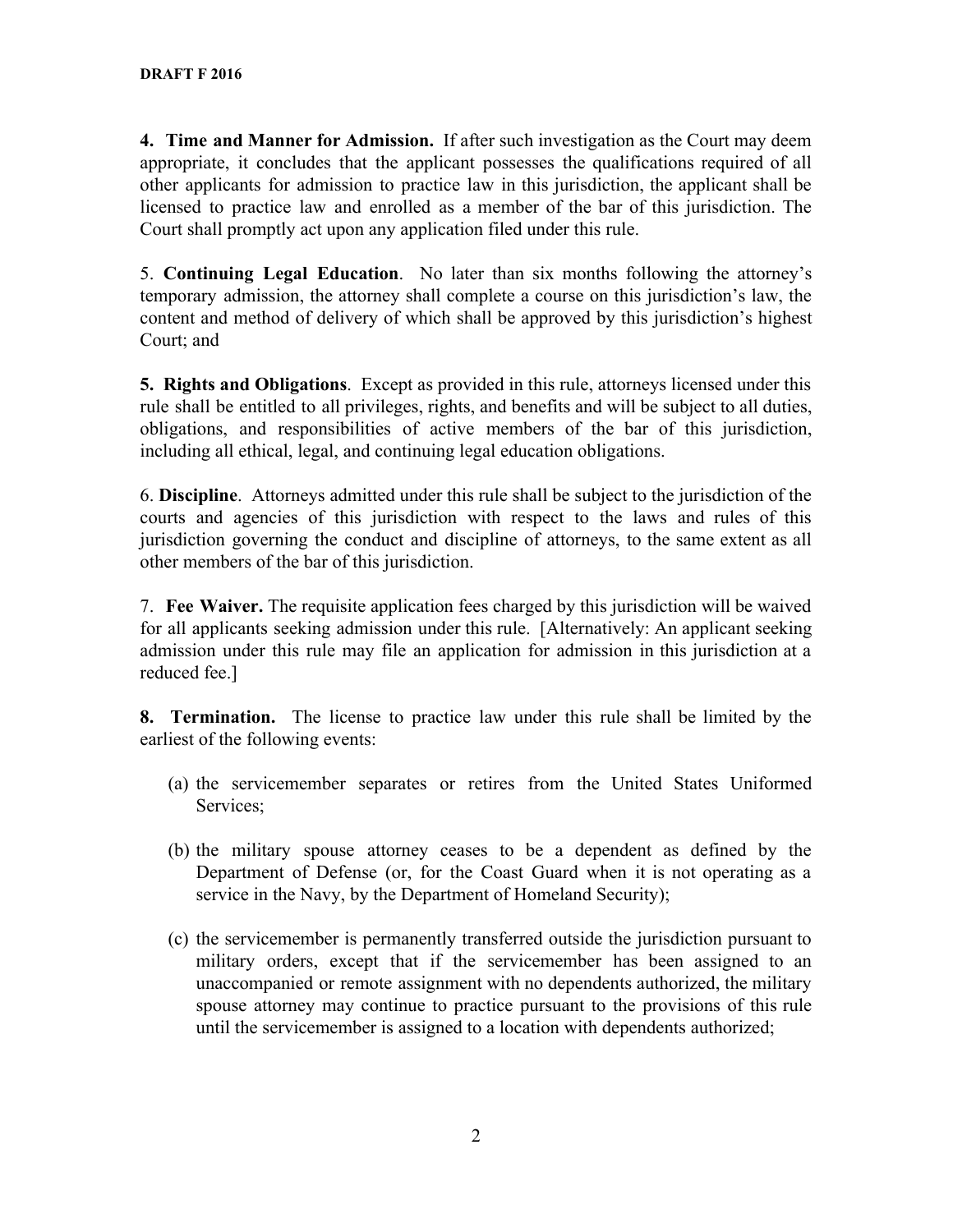**4. Time and Manner for Admission.** If after such investigation as the Court may deem appropriate, it concludes that the applicant possesses the qualifications required of all other applicants for admission to practice law in this jurisdiction, the applicant shall be licensed to practice law and enrolled as a member of the bar of this jurisdiction. The Court shall promptly act upon any application filed under this rule.

5. **Continuing Legal Education**. No later than six months following the attorney's temporary admission, the attorney shall complete a course on this jurisdiction's law, the content and method of delivery of which shall be approved by this jurisdiction's highest Court; and

**5. Rights and Obligations**. Except as provided in this rule, attorneys licensed under this rule shall be entitled to all privileges, rights, and benefits and will be subject to all duties, obligations, and responsibilities of active members of the bar of this jurisdiction, including all ethical, legal, and continuing legal education obligations.

6. **Discipline**. Attorneys admitted under this rule shall be subject to the jurisdiction of the courts and agencies of this jurisdiction with respect to the laws and rules of this jurisdiction governing the conduct and discipline of attorneys, to the same extent as all other members of the bar of this jurisdiction.

7. **Fee Waiver.** The requisite application fees charged by this jurisdiction will be waived for all applicants seeking admission under this rule. [Alternatively: An applicant seeking admission under this rule may file an application for admission in this jurisdiction at a reduced fee.]

**8. Termination.** The license to practice law under this rule shall be limited by the earliest of the following events:

- (a) the servicemember separates or retires from the United States Uniformed Services;
- (b) the military spouse attorney ceases to be a dependent as defined by the Department of Defense (or, for the Coast Guard when it is not operating as a service in the Navy, by the Department of Homeland Security);
- (c) the servicemember is permanently transferred outside the jurisdiction pursuant to military orders, except that if the servicemember has been assigned to an unaccompanied or remote assignment with no dependents authorized, the military spouse attorney may continue to practice pursuant to the provisions of this rule until the servicemember is assigned to a location with dependents authorized;